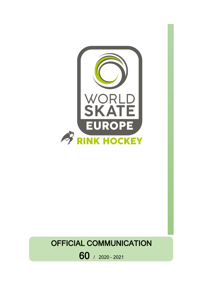

# OFFICIAL COMMUNICATION

60 / 2020 – <sup>2021</sup>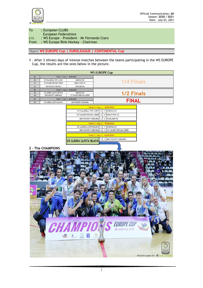

To : European CLUBS European Federations c/c : WS Europe – President – Mr Fernando Claro From : WS Europe Rink-Hockey - Chairman

Object: **WS EUROPE Cup | EUROLEAGUE | CONTINENTAL Cup**

**1** - After 3 (three) days of intense matches between the teams participating in the WS EUROPE Cup, the results are the ones below in the picture.

| <b>WS EUROPE Cup</b> |                              |                       |              |  |  |  |
|----------------------|------------------------------|-----------------------|--------------|--|--|--|
| Nr                   | Final 7   Day 1 - 18/06/2021 |                       |              |  |  |  |
| 20                   | CP CALAFELL TOT L'ANY        | <b>GIRONA CH</b>      |              |  |  |  |
| 21                   | CH CALDES RECAM LASER        | <b>RIBA D'AVE HC</b>  | 1/4 Finals   |  |  |  |
| 22                   | ASD HOCKEY SARZANA           | <b>IGUALADA HC</b>    |              |  |  |  |
| Nr                   | Final 7   Day 2 - 19/06/2021 |                       | 1/2 Finals   |  |  |  |
| 23                   | CE LLEIDA LLISTA BLAVA       | <b>GIRONA CH</b>      |              |  |  |  |
| 24                   | ASD HOCKEY SARZANA           | CH CALDES RECAM LASER |              |  |  |  |
| <b>Nr</b>            | Final 7   Day 3 - 20/06/2021 |                       | <b>FINAL</b> |  |  |  |
| 25                   | CE LLEIDA LLISTA BLAVA       | ASD HOCKEY SARZANA    |              |  |  |  |

| Final 7   Day 1 - 18/06/2021  |   |                |                       |  |
|-------------------------------|---|----------------|-----------------------|--|
| CP CALAFELL TOT L'ANY 2       |   | 4              | <b>GIRONA CH</b>      |  |
| CH CALDES RECAM LASER         | 6 |                | 2 RIBA D'AVE HC       |  |
| ASD HOCKEY SARZANA 3          |   | $\overline{2}$ | IGUALADA HC           |  |
| Final 7   Day 2 - 19/06/2021  |   |                |                       |  |
| CE LLEIDA LLISTA BLAVA 3      |   |                | <b>GIRONA CH</b>      |  |
| ASD HOCKEY SARZANA 4          |   |                |                       |  |
| Final 7   Day 3 - 20/06/2021  |   |                | CH CALDES RECAM LASER |  |
|                               | 5 | 3              | ASD HOCKEY SARZANA    |  |
| <b>CE LLEIDA LLISTA BLAVA</b> |   |                |                       |  |

## **2 – The CHAMPIONS**

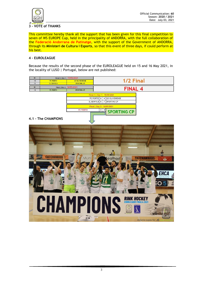

#### **3 – VOTE of THANKS**

This committee hereby thank all the support that has been given for this final competition to seven of WS EUROPE Cup, held in the principality of ANDORRA, with the full collaboration of the **Federació Andorrana de Patinatge**, with the support of the Government of ANDORRA, through its **Ministeri de Cultura I Esports**, so that this event of three days, if could perform at his best.

#### **4 – EUROLEAGUE**

Because the results of the second phase of the EUROLEAGUE held on 15 and 16 May 2021, in the locality of LUSO | Portugal, below are not published: